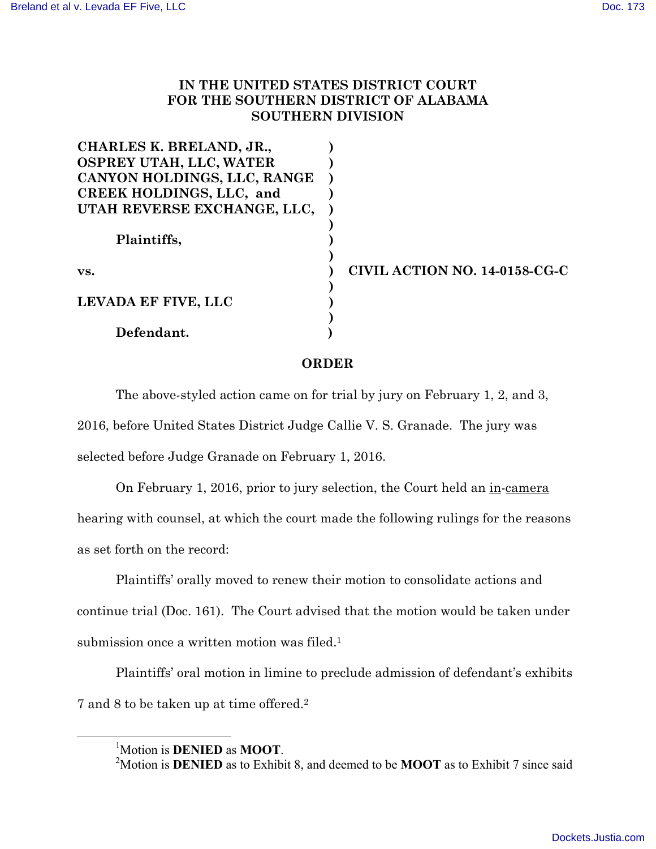## **IN THE UNITED STATES DISTRICT COURT FOR THE SOUTHERN DISTRICT OF ALABAMA SOUTHERN DIVISION**

| CHARLES K. BRELAND, JR.,    |                               |
|-----------------------------|-------------------------------|
| OSPREY UTAH, LLC, WATER     |                               |
| CANYON HOLDINGS, LLC, RANGE |                               |
| CREEK HOLDINGS, LLC, and    |                               |
| UTAH REVERSE EXCHANGE, LLC, |                               |
| Plaintiffs,                 |                               |
| VS.                         | CIVIL ACTION NO. 14-0158-CG-C |
| LEVADA EF FIVE, LLC         |                               |
| Defendant.                  |                               |

## **ORDER**

The above-styled action came on for trial by jury on February 1, 2, and 3, 2016, before United States District Judge Callie V. S. Granade. The jury was selected before Judge Granade on February 1, 2016.

On February 1, 2016, prior to jury selection, the Court held an in-camera hearing with counsel, at which the court made the following rulings for the reasons as set forth on the record:

Plaintiffs' orally moved to renew their motion to consolidate actions and continue trial (Doc. 161). The Court advised that the motion would be taken under submission once a written motion was filed.<sup>1</sup>

Plaintiffs' oral motion in limine to preclude admission of defendant's exhibits 7 and 8 to be taken up at time offered.2

<sup>&</sup>lt;u>1</u> Motion is **DENIED** as **MOOT**. <sup>2</sup>

<sup>&</sup>lt;sup>2</sup>Motion is **DENIED** as to Exhibit 8, and deemed to be **MOOT** as to Exhibit 7 since said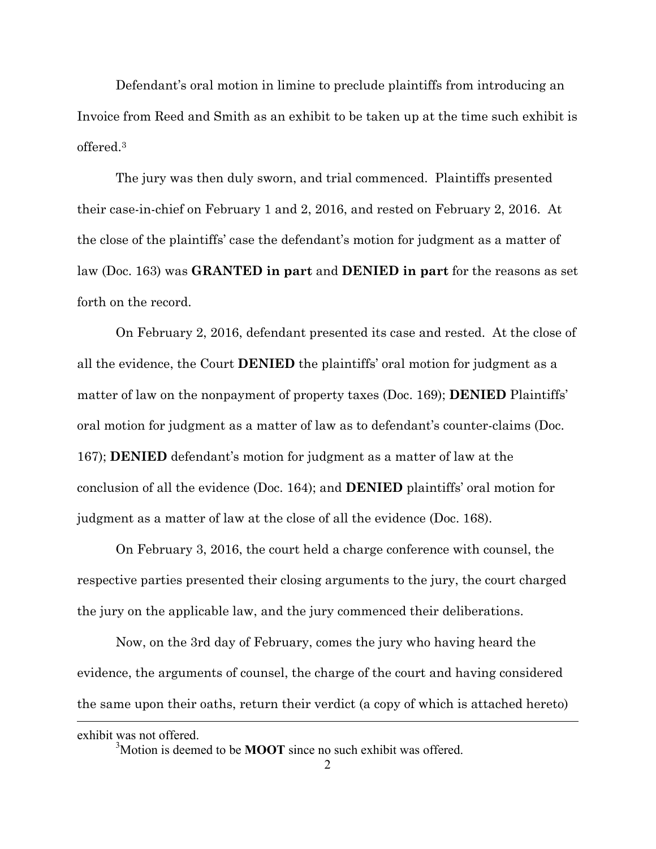Defendant's oral motion in limine to preclude plaintiffs from introducing an Invoice from Reed and Smith as an exhibit to be taken up at the time such exhibit is offered.3

The jury was then duly sworn, and trial commenced. Plaintiffs presented their case-in-chief on February 1 and 2, 2016, and rested on February 2, 2016. At the close of the plaintiffs' case the defendant's motion for judgment as a matter of law (Doc. 163) was **GRANTED in part** and **DENIED in part** for the reasons as set forth on the record.

On February 2, 2016, defendant presented its case and rested. At the close of all the evidence, the Court **DENIED** the plaintiffs' oral motion for judgment as a matter of law on the nonpayment of property taxes (Doc. 169); **DENIED** Plaintiffs' oral motion for judgment as a matter of law as to defendant's counter-claims (Doc. 167); **DENIED** defendant's motion for judgment as a matter of law at the conclusion of all the evidence (Doc. 164); and **DENIED** plaintiffs' oral motion for judgment as a matter of law at the close of all the evidence (Doc. 168).

On February 3, 2016, the court held a charge conference with counsel, the respective parties presented their closing arguments to the jury, the court charged the jury on the applicable law, and the jury commenced their deliberations.

 $\overline{a}$ Now, on the 3rd day of February, comes the jury who having heard the evidence, the arguments of counsel, the charge of the court and having considered the same upon their oaths, return their verdict (a copy of which is attached hereto)

exhibit was not offered. 3 Motion is deemed to be **MOOT** since no such exhibit was offered.